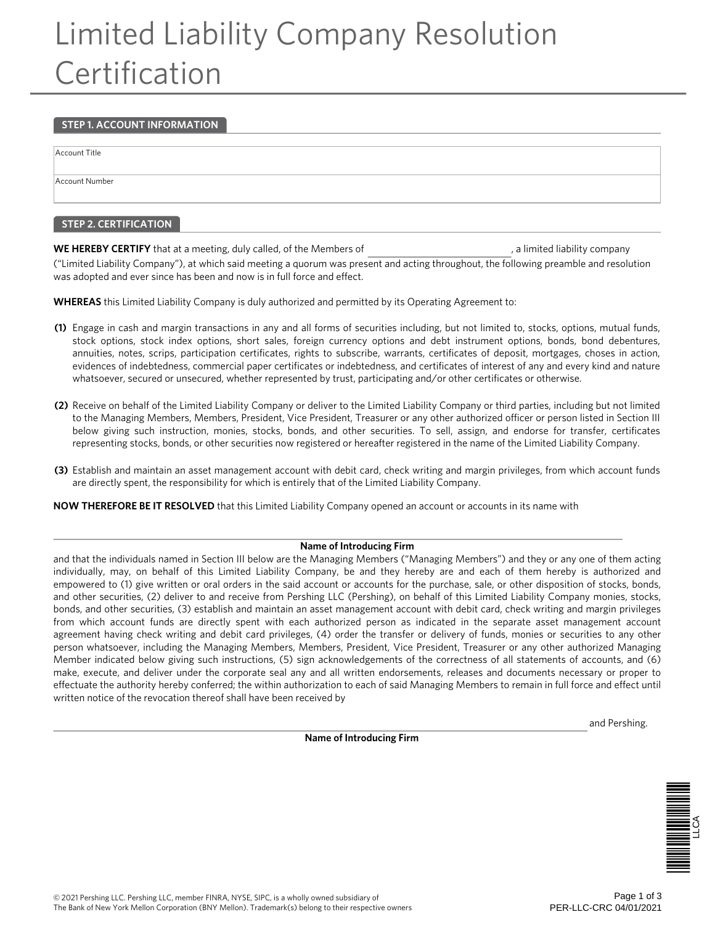# Limited Liability Company Resolution **Certification**

#### **STEP 1. ACCOUNT INFORMATION**

Account Title

Account Number

#### **STEP 2. CERTIFICATION**

**WE HEREBY CERTIFY** that at a meeting, duly called, of the Members of  $\blacksquare$ , a limited liability company

("Limited Liability Company"), at which said meeting a quorum was present and acting throughout, the following preamble and resolution was adopted and ever since has been and now is in full force and effect.

**WHEREAS** this Limited Liability Company is duly authorized and permitted by its Operating Agreement to:

- **(1)** Engage in cash and margin transactions in any and all forms of securities including, but not limited to, stocks, options, mutual funds, stock options, stock index options, short sales, foreign currency options and debt instrument options, bonds, bond debentures, annuities, notes, scrips, participation certificates, rights to subscribe, warrants, certificates of deposit, mortgages, choses in action, evidences of indebtedness, commercial paper certificates or indebtedness, and certificates of interest of any and every kind and nature whatsoever, secured or unsecured, whether represented by trust, participating and/or other certificates or otherwise.
- **(2)** Receive on behalf of the Limited Liability Company or deliver to the Limited Liability Company or third parties, including but not limited to the Managing Members, Members, President, Vice President, Treasurer or any other authorized officer or person listed in Section III below giving such instruction, monies, stocks, bonds, and other securities. To sell, assign, and endorse for transfer, certificates representing stocks, bonds, or other securities now registered or hereafter registered in the name of the Limited Liability Company.
- **(3)** Establish and maintain an asset management account with debit card, check writing and margin privileges, from which account funds are directly spent, the responsibility for which is entirely that of the Limited Liability Company.

**NOW THEREFORE BE IT RESOLVED** that this Limited Liability Company opened an account or accounts in its name with

#### **Name of Introducing Firm**

and that the individuals named in Section III below are the Managing Members ("Managing Members") and they or any one of them acting individually, may, on behalf of this Limited Liability Company, be and they hereby are and each of them hereby is authorized and empowered to (1) give written or oral orders in the said account or accounts for the purchase, sale, or other disposition of stocks, bonds, and other securities, (2) deliver to and receive from Pershing LLC (Pershing), on behalf of this Limited Liability Company monies, stocks, bonds, and other securities, (3) establish and maintain an asset management account with debit card, check writing and margin privileges from which account funds are directly spent with each authorized person as indicated in the separate asset management account agreement having check writing and debit card privileges, (4) order the transfer or delivery of funds, monies or securities to any other person whatsoever, including the Managing Members, Members, President, Vice President, Treasurer or any other authorized Managing Member indicated below giving such instructions, (5) sign acknowledgements of the correctness of all statements of accounts, and (6) make, execute, and deliver under the corporate seal any and all written endorsements, releases and documents necessary or proper to effectuate the authority hereby conferred; the within authorization to each of said Managing Members to remain in full force and effect until written notice of the revocation thereof shall have been received by

**Name of Introducing Firm**

and Pershing.

LLCA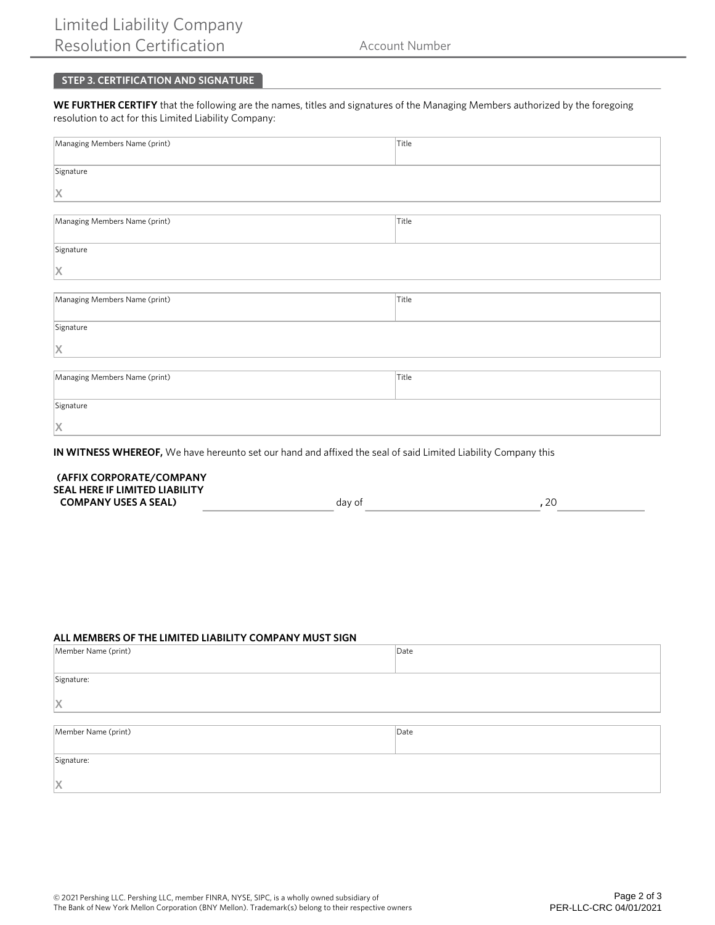## **STEP 3. CERTIFICATION AND SIGNATURE**

**WE FURTHER CERTIFY** that the following are the names, titles and signatures of the Managing Members authorized by the foregoing resolution to act for this Limited Liability Company:

| Managing Members Name (print) | Title |  |
|-------------------------------|-------|--|
| Signature                     |       |  |
| X                             |       |  |
|                               |       |  |
| Managing Members Name (print) | Title |  |
| Signature                     |       |  |
| X                             |       |  |
|                               |       |  |
| Managing Members Name (print) | Title |  |
| Signature                     |       |  |
| X                             |       |  |
|                               |       |  |
| Managing Members Name (print) | Title |  |
| Signature                     |       |  |
| X                             |       |  |

**IN WITNESS WHEREOF,** We have hereunto set our hand and affixed the seal of said Limited Liability Company this

#### **(AFFIX CORPORATE/COMPANY SEAL HERE IF LIMITED LIABILITY COMPANY USES A SEAL) and a search of the company of the company of the company of the company of the company of the company of the company of the company of the company of the company of the company of the company of t**

### **ALL MEMBERS OF THE LIMITED LIABILITY COMPANY MUST SIGN**

| Member Name (print) | Date |  |
|---------------------|------|--|
|                     |      |  |
| Signature:          |      |  |
|                     |      |  |
| $\vert$ X           |      |  |
|                     |      |  |
| Member Name (print) | Date |  |
|                     |      |  |
| Signature:          |      |  |
|                     |      |  |
| $\mathsf{\times}$   |      |  |